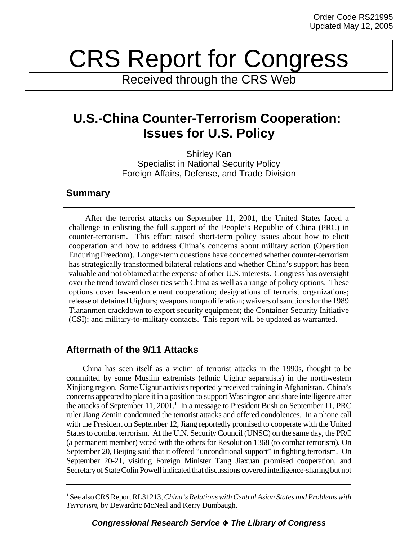# CRS Report for Congress

Received through the CRS Web

# **U.S.-China Counter-Terrorism Cooperation: Issues for U.S. Policy**

Shirley Kan Specialist in National Security Policy Foreign Affairs, Defense, and Trade Division

### **Summary**

After the terrorist attacks on September 11, 2001, the United States faced a challenge in enlisting the full support of the People's Republic of China (PRC) in counter-terrorism. This effort raised short-term policy issues about how to elicit cooperation and how to address China's concerns about military action (Operation Enduring Freedom). Longer-term questions have concerned whether counter-terrorism has strategically transformed bilateral relations and whether China's support has been valuable and not obtained at the expense of other U.S. interests. Congress has oversight over the trend toward closer ties with China as well as a range of policy options. These options cover law-enforcement cooperation; designations of terrorist organizations; release of detained Uighurs; weapons nonproliferation; waivers of sanctions for the 1989 Tiananmen crackdown to export security equipment; the Container Security Initiative (CSI); and military-to-military contacts. This report will be updated as warranted.

## **Aftermath of the 9/11 Attacks**

China has seen itself as a victim of terrorist attacks in the 1990s, thought to be committed by some Muslim extremists (ethnic Uighur separatists) in the northwestern Xinjiang region. Some Uighur activists reportedly received training in Afghanistan. China's concerns appeared to place it in a position to support Washington and share intelligence after the attacks of September 11, 2001.<sup>1</sup> In a message to President Bush on September 11, PRC ruler Jiang Zemin condemned the terrorist attacks and offered condolences. In a phone call with the President on September 12, Jiang reportedly promised to cooperate with the United States to combat terrorism. At the U.N. Security Council (UNSC) on the same day, the PRC (a permanent member) voted with the others for Resolution 1368 (to combat terrorism). On September 20, Beijing said that it offered "unconditional support" in fighting terrorism. On September 20-21, visiting Foreign Minister Tang Jiaxuan promised cooperation, and Secretary of State Colin Powell indicated that discussions covered intelligence-sharing but not

<sup>1</sup> See also CRS Report RL31213, *China's Relations with Central Asian States and Problems with Terrorism*, by Dewardric McNeal and Kerry Dumbaugh.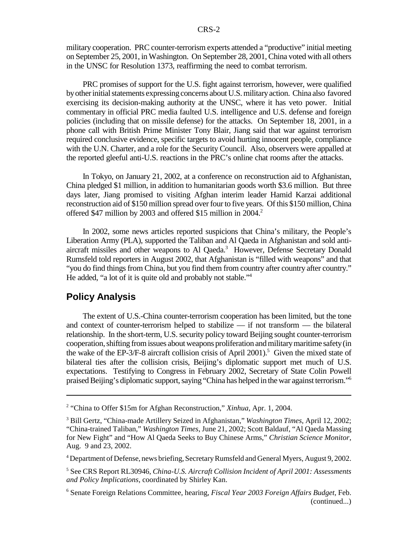military cooperation. PRC counter-terrorism experts attended a "productive" initial meeting on September 25, 2001, in Washington. On September 28, 2001, China voted with all others in the UNSC for Resolution 1373, reaffirming the need to combat terrorism.

PRC promises of support for the U.S. fight against terrorism, however, were qualified by other initial statements expressing concerns about U.S. military action. China also favored exercising its decision-making authority at the UNSC, where it has veto power. Initial commentary in official PRC media faulted U.S. intelligence and U.S. defense and foreign policies (including that on missile defense) for the attacks. On September 18, 2001, in a phone call with British Prime Minister Tony Blair, Jiang said that war against terrorism required conclusive evidence, specific targets to avoid hurting innocent people, compliance with the U.N. Charter, and a role for the Security Council. Also, observers were appalled at the reported gleeful anti-U.S. reactions in the PRC's online chat rooms after the attacks.

In Tokyo, on January 21, 2002, at a conference on reconstruction aid to Afghanistan, China pledged \$1 million, in addition to humanitarian goods worth \$3.6 million. But three days later, Jiang promised to visiting Afghan interim leader Hamid Karzai additional reconstruction aid of \$150 million spread over four to five years. Of this \$150 million, China offered \$47 million by 2003 and offered \$15 million in 2004.<sup>2</sup>

In 2002, some news articles reported suspicions that China's military, the People's Liberation Army (PLA), supported the Taliban and Al Qaeda in Afghanistan and sold antiaircraft missiles and other weapons to Al Qaeda.<sup>3</sup> However, Defense Secretary Donald Rumsfeld told reporters in August 2002, that Afghanistan is "filled with weapons" and that "you do find things from China, but you find them from country after country after country." He added, "a lot of it is quite old and probably not stable."4

#### **Policy Analysis**

The extent of U.S.-China counter-terrorism cooperation has been limited, but the tone and context of counter-terrorism helped to stabilize — if not transform — the bilateral relationship. In the short-term, U.S. security policy toward Beijing sought counter-terrorism cooperation, shifting from issues about weapons proliferation and military maritime safety (in the wake of the EP-3/F-8 aircraft collision crisis of April 2001).<sup>5</sup> Given the mixed state of bilateral ties after the collision crisis, Beijing's diplomatic support met much of U.S. expectations. Testifying to Congress in February 2002, Secretary of State Colin Powell praised Beijing's diplomatic support, saying "China has helped in the war against terrorism."6

4 Department of Defense, news briefing, Secretary Rumsfeld and General Myers, August 9, 2002.

<sup>&</sup>lt;sup>2</sup> "China to Offer \$15m for Afghan Reconstruction," *Xinhua*, Apr. 1, 2004.

<sup>3</sup> Bill Gertz, "China-made Artillery Seized in Afghanistan," *Washington Times*, April 12, 2002; "China-trained Taliban," *Washington Times*, June 21, 2002; Scott Baldauf, "Al Qaeda Massing for New Fight" and "How Al Qaeda Seeks to Buy Chinese Arms," *Christian Science Monitor*, Aug. 9 and 23, 2002.

<sup>5</sup> See CRS Report RL30946, *China-U.S. Aircraft Collision Incident of April 2001: Assessments and Policy Implications*, coordinated by Shirley Kan.

<sup>6</sup> Senate Foreign Relations Committee, hearing, *Fiscal Year 2003 Foreign Affairs Budget,* Feb. (continued...)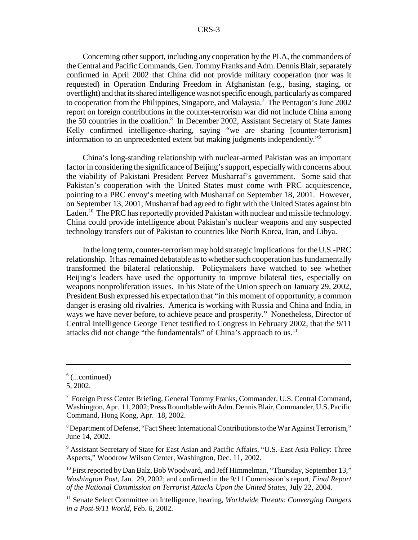Concerning other support, including any cooperation by the PLA, the commanders of the Central and Pacific Commands, Gen. Tommy Franks and Adm. Dennis Blair, separately confirmed in April 2002 that China did not provide military cooperation (nor was it requested) in Operation Enduring Freedom in Afghanistan (e.g., basing, staging, or overflight) and that its shared intelligence was not specific enough, particularly as compared to cooperation from the Philippines, Singapore, and Malaysia.<sup>7</sup> The Pentagon's June 2002 report on foreign contributions in the counter-terrorism war did not include China among the 50 countries in the coalition.<sup>8</sup> In December 2002, Assistant Secretary of State James Kelly confirmed intelligence-sharing, saying "we are sharing [counter-terrorism] information to an unprecedented extent but making judgments independently."9

China's long-standing relationship with nuclear-armed Pakistan was an important factor in considering the significance of Beijing's support, especially with concerns about the viability of Pakistani President Pervez Musharraf's government. Some said that Pakistan's cooperation with the United States must come with PRC acquiescence, pointing to a PRC envoy's meeting with Musharraf on September 18, 2001. However, on September 13, 2001, Musharraf had agreed to fight with the United States against bin Laden.<sup>10</sup> The PRC has reportedly provided Pakistan with nuclear and missile technology. China could provide intelligence about Pakistan's nuclear weapons and any suspected technology transfers out of Pakistan to countries like North Korea, Iran, and Libya.

In the long term, counter-terrorism may hold strategic implications for the U.S.-PRC relationship. It has remained debatable as to whether such cooperation has fundamentally transformed the bilateral relationship. Policymakers have watched to see whether Beijing's leaders have used the opportunity to improve bilateral ties, especially on weapons nonproliferation issues. In his State of the Union speech on January 29, 2002, President Bush expressed his expectation that "in this moment of opportunity, a common danger is erasing old rivalries. America is working with Russia and China and India, in ways we have never before, to achieve peace and prosperity." Nonetheless, Director of Central Intelligence George Tenet testified to Congress in February 2002, that the 9/11 attacks did not change "the fundamentals" of China's approach to us.<sup>11</sup>

 $6$  (...continued)

<sup>5, 2002.</sup>

<sup>&</sup>lt;sup>7</sup> Foreign Press Center Briefing, General Tommy Franks, Commander, U.S. Central Command, Washington, Apr. 11, 2002; Press Roundtable with Adm. Dennis Blair, Commander, U.S. Pacific Command, Hong Kong, Apr. 18, 2002.

 $8$  Department of Defense, "Fact Sheet: International Contributions to the War Against Terrorism," June 14, 2002.

<sup>&</sup>lt;sup>9</sup> Assistant Secretary of State for East Asian and Pacific Affairs, "U.S.-East Asia Policy: Three Aspects," Woodrow Wilson Center, Washington, Dec. 11, 2002.

 $10$  First reported by Dan Balz, Bob Woodward, and Jeff Himmelman, "Thursday, September 13," *Washington Post*, Jan. 29, 2002; and confirmed in the 9/11 Commission's report, *Final Report of the National Commission on Terrorist Attacks Upon the United States,* July 22, 2004.

<sup>&</sup>lt;sup>11</sup> Senate Select Committee on Intelligence, hearing, *Worldwide Threats: Converging Dangers in a Post-9/11 World,* Feb. 6, 2002.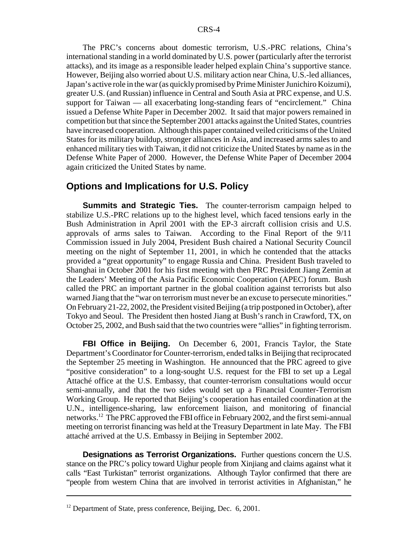The PRC's concerns about domestic terrorism, U.S.-PRC relations, China's international standing in a world dominated by U.S. power (particularly after the terrorist attacks), and its image as a responsible leader helped explain China's supportive stance. However, Beijing also worried about U.S. military action near China, U.S.-led alliances, Japan's active role in the war (as quickly promised by Prime Minister Junichiro Koizumi), greater U.S. (and Russian) influence in Central and South Asia at PRC expense, and U.S. support for Taiwan — all exacerbating long-standing fears of "encirclement." China issued a Defense White Paper in December 2002. It said that major powers remained in competition but that since the September 2001 attacks against the United States, countries have increased cooperation. Although this paper contained veiled criticisms of the United States for its military buildup, stronger alliances in Asia, and increased arms sales to and enhanced military ties with Taiwan, it did not criticize the United States by name as in the Defense White Paper of 2000. However, the Defense White Paper of December 2004 again criticized the United States by name.

#### **Options and Implications for U.S. Policy**

**Summits and Strategic Ties.** The counter-terrorism campaign helped to stabilize U.S.-PRC relations up to the highest level, which faced tensions early in the Bush Administration in April 2001 with the EP-3 aircraft collision crisis and U.S. approvals of arms sales to Taiwan. According to the Final Report of the 9/11 Commission issued in July 2004, President Bush chaired a National Security Council meeting on the night of September 11, 2001, in which he contended that the attacks provided a "great opportunity" to engage Russia and China. President Bush traveled to Shanghai in October 2001 for his first meeting with then PRC President Jiang Zemin at the Leaders' Meeting of the Asia Pacific Economic Cooperation (APEC) forum. Bush called the PRC an important partner in the global coalition against terrorists but also warned Jiang that the "war on terrorism must never be an excuse to persecute minorities." On February 21-22, 2002, the President visited Beijing (a trip postponed in October), after Tokyo and Seoul. The President then hosted Jiang at Bush's ranch in Crawford, TX, on October 25, 2002, and Bush said that the two countries were "allies" in fighting terrorism.

**FBI Office in Beijing.** On December 6, 2001, Francis Taylor, the State Department's Coordinator for Counter-terrorism, ended talks in Beijing that reciprocated the September 25 meeting in Washington. He announced that the PRC agreed to give "positive consideration" to a long-sought U.S. request for the FBI to set up a Legal Attaché office at the U.S. Embassy, that counter-terrorism consultations would occur semi-annually, and that the two sides would set up a Financial Counter-Terrorism Working Group. He reported that Beijing's cooperation has entailed coordination at the U.N., intelligence-sharing, law enforcement liaison, and monitoring of financial networks.12 The PRC approved the FBI office in February 2002, and the first semi-annual meeting on terrorist financing was held at the Treasury Department in late May. The FBI attaché arrived at the U.S. Embassy in Beijing in September 2002.

**Designations as Terrorist Organizations.** Further questions concern the U.S. stance on the PRC's policy toward Uighur people from Xinjiang and claims against what it calls "East Turkistan" terrorist organizations. Although Taylor confirmed that there are "people from western China that are involved in terrorist activities in Afghanistan," he

 $12$  Department of State, press conference, Beijing, Dec. 6, 2001.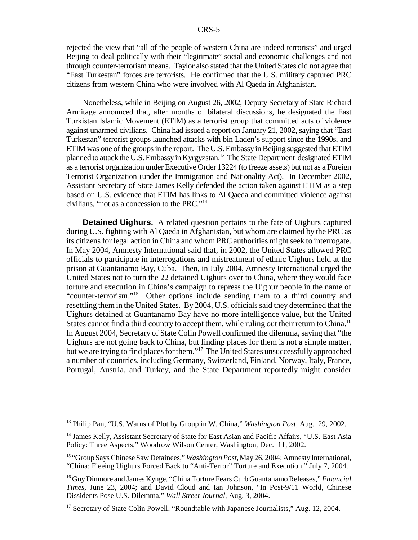rejected the view that "all of the people of western China are indeed terrorists" and urged Beijing to deal politically with their "legitimate" social and economic challenges and not through counter-terrorism means. Taylor also stated that the United States did not agree that "East Turkestan" forces are terrorists. He confirmed that the U.S. military captured PRC citizens from western China who were involved with Al Qaeda in Afghanistan.

Nonetheless, while in Beijing on August 26, 2002, Deputy Secretary of State Richard Armitage announced that, after months of bilateral discussions, he designated the East Turkistan Islamic Movement (ETIM) as a terrorist group that committed acts of violence against unarmed civilians. China had issued a report on January 21, 2002, saying that "East Turkestan" terrorist groups launched attacks with bin Laden's support since the 1990s, and ETIM was one of the groups in the report. The U.S. Embassy in Beijing suggested that ETIM planned to attack the U.S. Embassy in Kyrgyzstan.<sup>13</sup> The State Department designated ETIM as a terrorist organization under Executive Order 13224 (to freeze assets) but not as a Foreign Terrorist Organization (under the Immigration and Nationality Act). In December 2002, Assistant Secretary of State James Kelly defended the action taken against ETIM as a step based on U.S. evidence that ETIM has links to Al Qaeda and committed violence against civilians, "not as a concession to the PRC."14

**Detained Uighurs.** A related question pertains to the fate of Uighurs captured during U.S. fighting with Al Qaeda in Afghanistan, but whom are claimed by the PRC as its citizens for legal action in China and whom PRC authorities might seek to interrogate. In May 2004, Amnesty International said that, in 2002, the United States allowed PRC officials to participate in interrogations and mistreatment of ethnic Uighurs held at the prison at Guantanamo Bay, Cuba. Then, in July 2004, Amnesty International urged the United States not to turn the 22 detained Uighurs over to China, where they would face torture and execution in China's campaign to repress the Uighur people in the name of "counter-terrorism."<sup>15</sup> Other options include sending them to a third country and resettling them in the United States. By 2004, U.S. officials said they determined that the Uighurs detained at Guantanamo Bay have no more intelligence value, but the United States cannot find a third country to accept them, while ruling out their return to China.<sup>16</sup> In August 2004, Secretary of State Colin Powell confirmed the dilemma, saying that "the Uighurs are not going back to China, but finding places for them is not a simple matter, but we are trying to find places for them."17 The United States unsuccessfully approached a number of countries, including Germany, Switzerland, Finland, Norway, Italy, France, Portugal, Austria, and Turkey, and the State Department reportedly might consider

<sup>13</sup> Philip Pan, "U.S. Warns of Plot by Group in W. China," *Washington Post*, Aug. 29, 2002.

<sup>&</sup>lt;sup>14</sup> James Kelly, Assistant Secretary of State for East Asian and Pacific Affairs, "U.S.-East Asia Policy: Three Aspects," Woodrow Wilson Center, Washington, Dec. 11, 2002.

<sup>15 &</sup>quot;Group Says Chinese Saw Detainees," *Washington Post*, May 26, 2004; Amnesty International, "China: Fleeing Uighurs Forced Back to "Anti-Terror" Torture and Execution," July 7, 2004.

<sup>16</sup> Guy Dinmore and James Kynge, "China Torture Fears Curb Guantanamo Releases," *Financial Times*, June 23, 2004; and David Cloud and Ian Johnson, "In Post-9/11 World, Chinese Dissidents Pose U.S. Dilemma," *Wall Street Journal*, Aug. 3, 2004.

<sup>&</sup>lt;sup>17</sup> Secretary of State Colin Powell, "Roundtable with Japanese Journalists," Aug. 12, 2004.